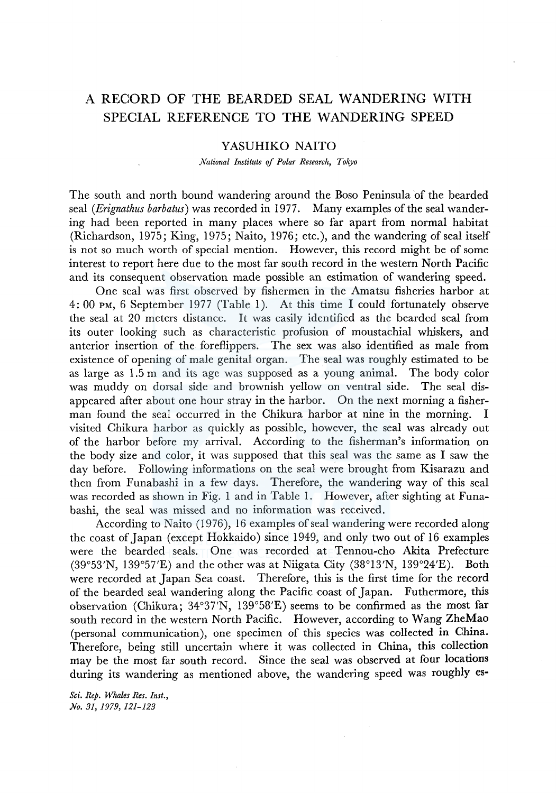# A RECORD OF THE BEARDED SEAL WANDERING WITH SPECIAL REFERENCE TO THE WANDERING SPEED

# YASUHIKO NAITO

*National Institute of Polar Research, Tokyo* 

The south and north bound wandering around the Boso Peninsula of the bearded seal *(Erignathus barbatus)* was recorded in 1977. Many examples of the seal wandering had been reported in many places where so far apart from normal habitat (Richardson, 1975; King, 1975; Naito, 1976; etc.), and the wandering of seal itself is not so much worth of special mention. However, this record might be of some interest to report here due to the most far south record in the western North Pacific and its consequent observation made possible an estimation of wandering speed.

One seal was first observed by fishermen in the Amatsu fisheries harbor at 4: 00 PM, 6 September 1977 (Table 1). At this time I could fortunately observe the seal at 20 meters distance. It was easily identified as the bearded seal from its outer looking such as characteristic profusion of moustachial whiskers, and anterior insertion of the foreflippers. The sex was also identified as male from existence of opening of male genital organ. The seal was roughly estimated to be as large as 1.5 m and its age was supposed as a young animal. The body color was muddy on dorsal side and brownish yellow on ventral side. The seal disappeared after about one hour stray in the harbor. On the next morning a fisherman found the seal occurred in the Chikura harbor at nine in the morning. I visited Chikura harbor as quickly as possible, however, the seal was already out of the harbor before my arrival. According to the fisherman's information on the body size and color, it was supposed that this seal was the same as I saw the day before. Following informations on the seal were brought from Kisarazu and then from Funabashi in a few days. Therefore, the wandering way of this seal was recorded as shown in Fig. 1 and in Table l. However, after sighting at Funabashi, the seal was missed and no information was received.

According to Naito (1976), 16 examples of seal wandering were recorded along the coast of Japan (except Hokkaido) since 1949, and only two out of 16 examples were the bearded seals. One was recorded at Tennou-cho Akita Prefecture  $(39°53'N, 139°57'E)$  and the other was at Niigata City  $(38°13'N, 139°24'E)$ . Both were recorded at Japan Sea coast. Therefore, this is the first time for the record of the bearded seal wandering along the Pacific coast of Japan. Futhermore, this observation (Chikura; 34°37'N, 139°58'£) seems to be confirmed as the most far south record in the western North Pacific. However, according to Wang ZheMao (personal communication), one specimen of this species was collected in China. Therefore, being still uncertain where it was collected in China, this collection may be the most far south record. Since the seal was observed at four locations during its wandering as mentioned above, the wandering speed was roughly es-

*Sci. Rep. Whales Res. Inst., No. 31, 1979, 121-123*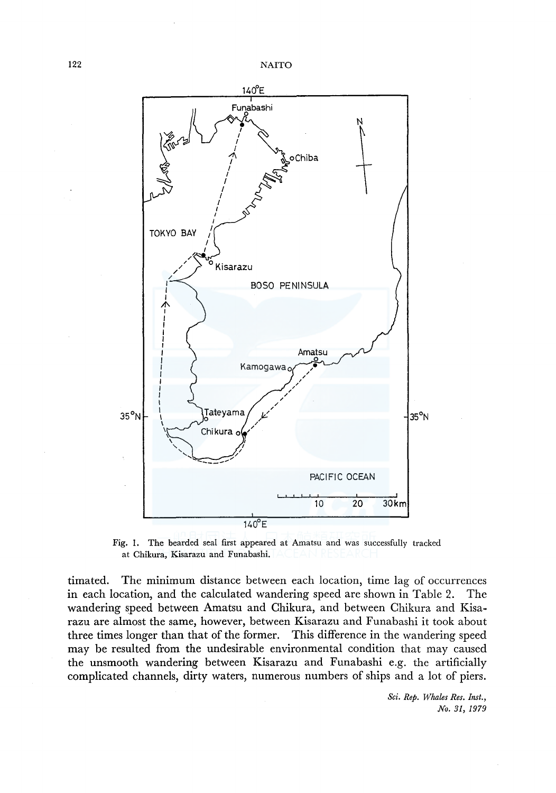

Fig. 1. The bearded seal first appeared at Amatsu and was successfully tracked at Chikura, Kisarazu and Funabashi.

timated. The minimum distance between each location, time lag of occurrences in each location, and the calculated wandering speed are shown in Table 2. The wandering speed between Amatsu and Chikura, and between Chikura and Kisarazu are almost the same, however, between Kisarazu and Funabashi it took about three times longer than that of the former. This difference in the wandering speed may be resulted from the undesirable environmental condition that may caused the unsmooth wandering between Kisarazu and Funabashi e.g. the artificially complicated channels, dirty waters, numerous numbers of ships and a lot of piers.

> *Sci. Rep. Whales Res. Inst., No. 31, 1979*